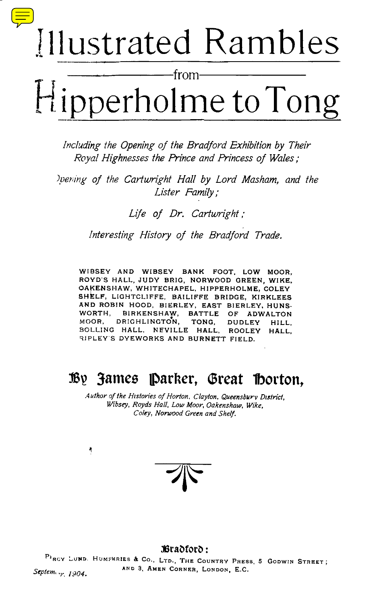# Illustrated Rambles

from Hipperholme to Tong

Including the Opening of the Bradford Exhibition by Their Royal Highnesses the Prince and Princess of Wales ;

Opening of the Cartwright Hall by Lord Masham, and the Lister Family ;

Life of Dr. Cartwright;

Interesting History of the Bradford Trade.

WIBSEY AND WIBSEY BANK FOOT. LOW MOOR, ROYD'S HALL, JUDY BRIG, NORWOOD GREEN, WIKE, OAKENSHAW, WHITECHAPEL, HIPPERHOLME, COLEY SHELF, LIGHTCLIFFE, BAILIFFE BRIDGE, KIRKLEES AND ROBIN HOOD, BIERLEY, EAST BIERLEY, HUNS-WORTH, BIRKENSHAW, BATTLE OF ADWALTON<br>MOOR, DRIGHLINGTON, TONG, DUDLEY HILL. MOOR, DRIGHLINGTON, TONG, DUDLEY HILL,<br>BOLLING HALL, NEVILLE HALL, ROOLEY HALL. BOLLING HALL, NEVILLE HALL, ROOLEY RIPLEY <sup>S</sup> DYEWORKS AND BURNETT FIELD.

# By James Parker, Great Horton,

Author of the Histories of Horton, Clayton, Queensbury District, Wibsey, Royds Hall, Low Moor, Oakenshaw, Wike, Coley, Norwood Green and Shelf.

۹

Bradford:

 $P_{\text{BCY}}$  LUND. HUMPHRIES & Co., LTD., THE COUNTRY PRESS, 5 GODWIN STREET;  $S_{\rm F}$   $\mu_{\rm F}$   $\mu_{\rm F}$   $\mu_{\rm F}$ AND 3, AMEN CORNER, LONDON, E.C.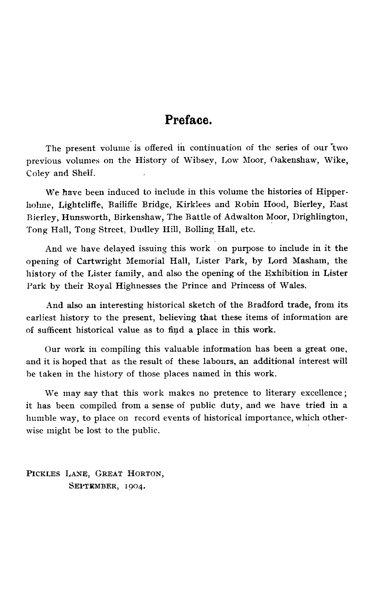## Preface.

The present volume is offered in continuation of the series of our "two previous volumes on the History of Wibsey, Low Moor, Oakenshaw, Wike, Coley and Shelf.

We have been induced to include in this volume the histories of Hipperholme, Lightcliffe, Bailiffe Bridge, Kirklees and Robin Hood, Bierley, East Bierley, Hunsworth, Birkenshaw, The Battle of Adwalton Moor, Drighlington, Tong Hall, Tong Street, Dudley Hill, Bolling Hall, etc.

And we have delayed issuing this work on purpose to include in it the opening of Cartwright Memorial Hall, Lister Park, by Lord Masham, the history of the Lister family, and also the opening of the Exhibition in Lister Park by their Royal Highnesses the Prince and Princess of Wales.

And also an interesting historical sketch of the Bradford trade, from its earliest history to the present, believing that these items of information are of sufficent historical value as to find a place in this work .

Our work in compiling this valuable information has been a great one, and it is hoped that as the result of these labours, an additional interest will he taken in the history of those places named in this work .

We may say that this work makes no pretence to literary excellence; it has been compiled from a sense of public duty, and we have tried in a humble way, to place on record events of historical importance, which otherwise might be lost to the public.

PICKLEs LANE, GREAT HORTON, SEPTEMBER, 1904.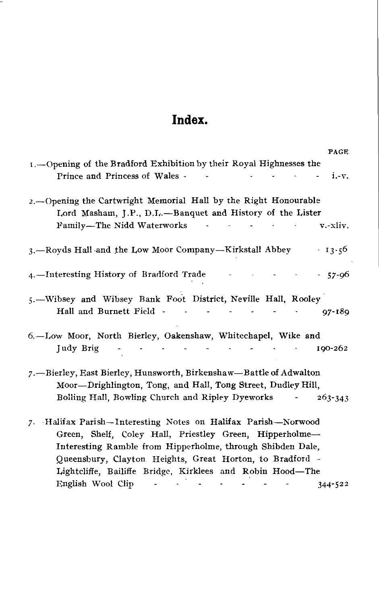# Index.

 

| Index.                                                                                                                                                                                                                                             |
|----------------------------------------------------------------------------------------------------------------------------------------------------------------------------------------------------------------------------------------------------|
| PAGE<br>1. - Opening of the Bradford Exhibition by their Royal Highnesses the                                                                                                                                                                      |
| Prince and Princess of Wales -<br>i.-v.<br><b>Contractor</b>                                                                                                                                                                                       |
| 2. Opening the Cartwright Memorial Hall by the Right Honourable<br>Lord Masham, J.P., D.L.-Banquet and History of the Lister                                                                                                                       |
| Family-The Nidd Waterworks<br>v.-xliv.                                                                                                                                                                                                             |
| 3. Royds Hall and the Low Moor Company—Kirkstall Abbey 13.56                                                                                                                                                                                       |
| 4.—Interesting History of Bradford Trade<br>-57-96                                                                                                                                                                                                 |
| 5.-Wibsey and Wibsey Bank Foot District, Neville Hall, Rooley<br>Hall and Burnett Field - - - - -<br>$97 - 189$                                                                                                                                    |
| 6.-Low Moor, North Bierley, Oakenshaw, Whitechapel, Wike and                                                                                                                                                                                       |
| Judy Brig<br>190-262<br>المجار المحارب المساري والمحارب والمحارب                                                                                                                                                                                   |
| 7. - Bierley, East Bierley, Hunsworth, Birkenshaw-Battle of Adwalton<br>Moor-Drighlington, Tong, and Hall, Tong Street, Dudley Hill,                                                                                                               |
| Bolling Hall, Bowling Church and Ripley Dyeworks<br>$263 - 343$                                                                                                                                                                                    |
| 7. Halifax Parish-Interesting Notes on Halifax Parish-Norwood<br>Green, Shelf, Coley Hall, Priestley Green, Hipperholme-<br>Interesting Ramble from Hipperholme, through Shibden Dale,<br>Queensbury, Clayton Heights, Great Horton, to Bradford - |
| Lightcliffe, Bailiffe Bridge, Kirklees and Robin Hood-The<br>English Wool Clip<br>$344 - 522$<br><b>Contract</b>                                                                                                                                   |
|                                                                                                                                                                                                                                                    |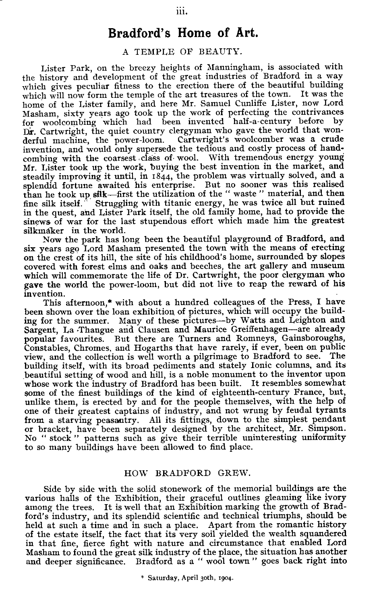## Bradford's Home of Art.

#### A TEMPLE OF BEAUTY.

Lister Park, on the breezy heights of Manningham, is associated with the history and development of the great industries of Bradford in a way which gives peculiar fitness to the erection there of the beautiful building which will now form the temple of the art treasures of the town. It was the home of the Lister family, and here Mr. Samuel Cunliffe Lister, now Lord Masham, sixty years ago took up the work of perfecting the contrivances for woolcombing which had been invented half-a-century before by Dr. Cartwright, the quiet country clergyman who gave the world that wonderful machine, the power-loom . Cartwright's woolcomber was a crude invention, and would only supersede the tedious and costly process of handcombing with the coarsest class of wool. With tremendous energy young Mr. Lister took up the work, buying the best invention in the market, and steadily improving it until, in 1844, the problem was virtually solved, and a splendid fortune awaited his enterprise. But no sooner was this realised than he took up silk-first the utilization of the " waste " material, and then<br>fine silk itself. Struggling with titanic energy, he was twice all but ruined Struggling with titanic energy, he was twice all but ruined in the quest, and Lister Park itself, the old family home, had to provide the sinews of war for the last stupendous effort which made him the greatest silkmaker in the world.

Now the park has long been the beautiful playground of Bradford, and six years ago Lord Masham presented the town with the means of erecting on the crest of its hill, the site of his childhood's home, surrounded by slopes covered with forest elms and oaks and beeches, the art gallery and museum which will commemorate the life of Dr. Cartwright, the poor clergyman who gave the world the power-loom, but did not live to reap the reward of his invention.

This afternoon,\* with about a hundred colleagues of the Press, I have been shown over the loan exhibition of pictures, which will occupy the building for the summer. Many of these pictures-by Watts and Leighton and Sargent, La Thangue and Clausen and Maurice Greiffenhagen-are already popular favourites. But there are Turners and Romneys, Gainsboroughs, Constables, Chromes, and Hogarths that have rarely, if ever, been on public view, and the collection is well worth a pilgrimage to Bradford to see . The building itself, with its broad pediments and stately Ionic columns, and its beautiful setting of wood and hill, is a noble monument to the inventor upon whose work the industry of Bradford has been built. It resembles somewhat some of the finest buildings of the kind of eighteenth-century France, but, unlike them, is erected by and for the people themselves, with the help of one of their greatest captains of industry, and not wrung by feudal tyrants from a starving peasantry. All its fittings, down to the simplest pendant or bracket, have been separately designed by the architect, Mr . Simpson . No " stock " patterns such as give their terrible uninteresting uniformity to so many buildings have been allowed to find place .

#### HOW BRADFORD GREW.

Side by side with the solid stonework of the memorial buildings are the various halls of the Exhibition, their graceful outlines gleaming like ivory among the trees. It is well that an Exhibition marking the growth of Bradford's industry, and its splendid scientific and technical triumphs, should be held at such a time and in such a place. Apart from the romantic history of the estate itself, the fact that its very soil yielded the wealth squandered in that fine, fierce fight with nature and circumstance that enabled Lord Masham to found the great silk industry of the place, the situation has another and deeper significance. Bradford as a " wool town " goes back right into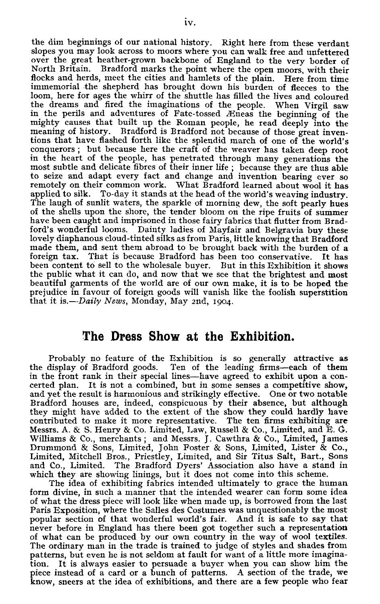the dim beginnings of our national history. Right here from these verdant slopes you may look across to moors where you can walk free and unfettered over the great heather-grown backbone of England to the very border of North Britain. Bradford marks the point where the open moors, with their flocks and herds, meet the cities and hamlets of the plain. Here from time immemorial the shepherd has brought down his burden of fleeces to the loom, here for ages the whirr of the shuttle has filled the lives and coloured the dreams and fired the imaginations of the people. When Virgil saw in the perils and adventures of Fate-tossed AEneas the beginning of the mighty causes that built up the Roman people, he read deeply into the meaning of history. Bradford is Bradford not because of those great inventions that have flashed forth like the splendid march of one of the world's conquerors ; but because here the craft of the weaver has taken deep root in the heart of the people, has penetrated through many generations the most subtle and delicate fibres of their inner life ; because they are thus able to seize and adapt every fact and change and invention bearing ever so remotely on their common work. What Bradford learned about wool it has applied to silk. To-day it stands at the head of the world's weaving industry. The laugh of sunlit waters, the sparkle of morning dew, the soft pearly hues of the shells upon the shore, the tender bloom on the ripe fruits of summer have been caught and imprisoned in those fairy fabrics that flutter from Bradford's wonderful looms. Dainty ladies of Mayfair and Belgravia buy these lovely diaphanous cloud-tinted silks as from Paris, little knowing that Bradford made them, and sent them abroad to be brought back with the burden of a foreign tax. That is because Bradford has been too conservative. It has been content to sell to the wholesale buyer. But in this Exhibition it shows the public what it can do, and now that we see that the brightest and most beautiful garments of the world are of our own make, it is to be hoped the prejudice in favour of foreign goods will vanish like the foolish superstition that it is.— $Daily$  News, Monday, May 2nd, 1904.

### The Dress Show at the Exhibition.

Probably no feature of the Exhibition is so generally attractive as the display of Bradford goods. Ten of the leading firms-each of them in the front rank in their special lines-have agreed to exhibit upon a concerted plan. It is not a combined, but in some senses a competitive show, and yet the result is harmonious and strikingly effective. One or two notable Bradford houses are, indeed, conspicuous by their absence, but although they might have added to the extent of the show they could hardly have contributed to make it more representative . The ten firms exhibiting are Messrs. A. & S. Henry & Co. Limited, Law, Russell & Co., Limited, and E. G. Williams & Co., merchants ; and Messrs. J. Cawthra & Co., Limited, James<br>Drummond & Sons, Limited, John Foster & Sons, Limited, Lister & Co., Limited, Mitchell Bros., Priestley, Limited, and Sir Titus Salt, Bart., Sons and Co., Limited. The Bradford Dyers' Association also have a stand in which they are showing linings, but it does not come into this scheme.

The idea of exhibiting fabrics intended ultimately to grace the human form divine, in such a manner that the intended wearer can form some idea of what the dress piece will look like when made up, is borrowed from the last Paris Exposition, where the Salles des Costumes was unquestionably the most popular section of that wonderful world's fair. And it is safe to say that never before in England has there been got together such a representation of what can be produced by our own country in the way of wool textiles . The ordinary man in the trade is trained to judge of styles and shades from patterns, but even he is not seldom at fault for want of a little more imagination. It is always easier to persuade a buyer when you can show him the piece instead of a card or a bunch of patterns . A section of the trade, we know, sneers at the idea of exhibitions, and there are a few people who fear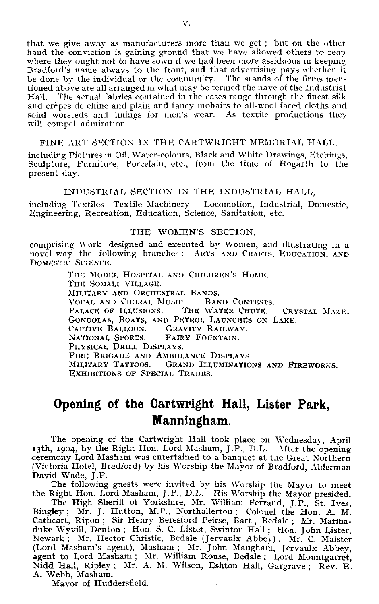<span id="page-5-0"></span>that we give away as manufacturers more than we get ; but on the other hand the conviction is gaining ground that we have allowed others to reap where they ought not to have sown if we had been more assiduous in keeping Bradford's name always to the front, and that advertising pays whether it be done by the individual or the community . The stands of the firms mentioned above are all arranged in what may he termed the nave of the Industrial The actual fabrics contained in the cases range through the finest silk and crepes de chine and plain and fancy mohairs to all-wool faced cloths and solid worsteds and linings for men's wear. As textile productions they will compel admiration.  $\frac{1}{\pi}$  that we give  $\frac{1}{2}$  that we give a hand the convi

#### FINE ART SECTION IN THE CARTWRIGHT MEMORIAL HALL,

including Pictures in Oil, Water-colours, Black and White Drawings, Etchings, Sculpture, Furniture, Porcelain, etc., from the time of Hogarth to the present day.

#### INDUSTRIAL SECTION IN THE INDUSTRIAL HALL,

including Textiles-Textile Machinery- Locomotion, Industrial, Domestic, Engineering, Recreation, Education, Science, Sanitation, etc .

#### THE WOMEN'S SECTION,

comprising Work designed and executed by Women, and illustrating in a<br>novel way the following branches :—ARTS AND CRAFTS, EDUCATION, AND DOMESTIC SCIENCE.

> THE MODEL HOSPITAL AND CHILDREN'S HOME. THE SOMALI VILLAGE. MILITARY AND ORCHESTRAL BANDS. VOCAL AND CHORAL MUSIC. BAND CONTESTS. PALACE OF ILLUSIONS. THE WATER CHUTE. CRYSTAL MAZE. GONDOLAS, BOATS, AND PETROL LAUNCHES ON LAKE. CAPTIVE BALLOON. GRAVITY RAILWAY.<br>FAIRY FOUNTAIN. NATIONAL SPORTS. PHYSICAL DRILL DISPLAYS. FIRE BRIGADE AND AMBULANCE DISPLAYS<br>MILITARY TATTOOS. GRAND ILLUMINATIC GRAND ILLUMINATIONS AND FIREWORKS. EXHIBITIONS OF SPECIAL TRADES.

# Opening of the Cartwright Hall, Lister Park, Manningham.

The opening of the Cartwright Hall took place on Wednesday, April 13th, 1904, by the Right Hon. Lord Masham, J.P., D.L. After the opening ceremony Lord Masham was entertained to a banquet at the Great Northern (Victoria Hotel, Bradford) by his Worship the Mayor of Bradford, Alderman David Wade, J.P.

The following guests were invited by his Worship the Mayor to meet the Right Hon. Lord Masham, J.P., D.L. His Worship the Mayor presided.<br>The High Sheriff of Yorkshire, Mr. William Ferrand, J.P., St. Ives,

Bingley; Mr. J. Hutton, M.P., Northallerton; Colonel the Hon. A. M. Cathcart, Ripon ; Sir Henry Beresford Peirse, Bart., Bedale ; Mr. Marmaduke Wyvill, Denton ; Hon. S. C. Lister, Swinton Hall ; Hon. John Lister, Newark ; Mr. Hector Christie, Bedale (Jervaulx Abbey) ; Mr. C. Maister (Lord Masham's agent), Masham ; Mr. John Maugham, Jervaulx Abbey, agent to Lord Masham ; Mr. William Rouse, Bedale ; Lord Mountgarret, Nidd Hall, Ripley ; Mr. A. M. Wilson, Eshton Hall, Gargrave ; Rev. E. A. Webb, Masham.

Mayor of Huddersfield.